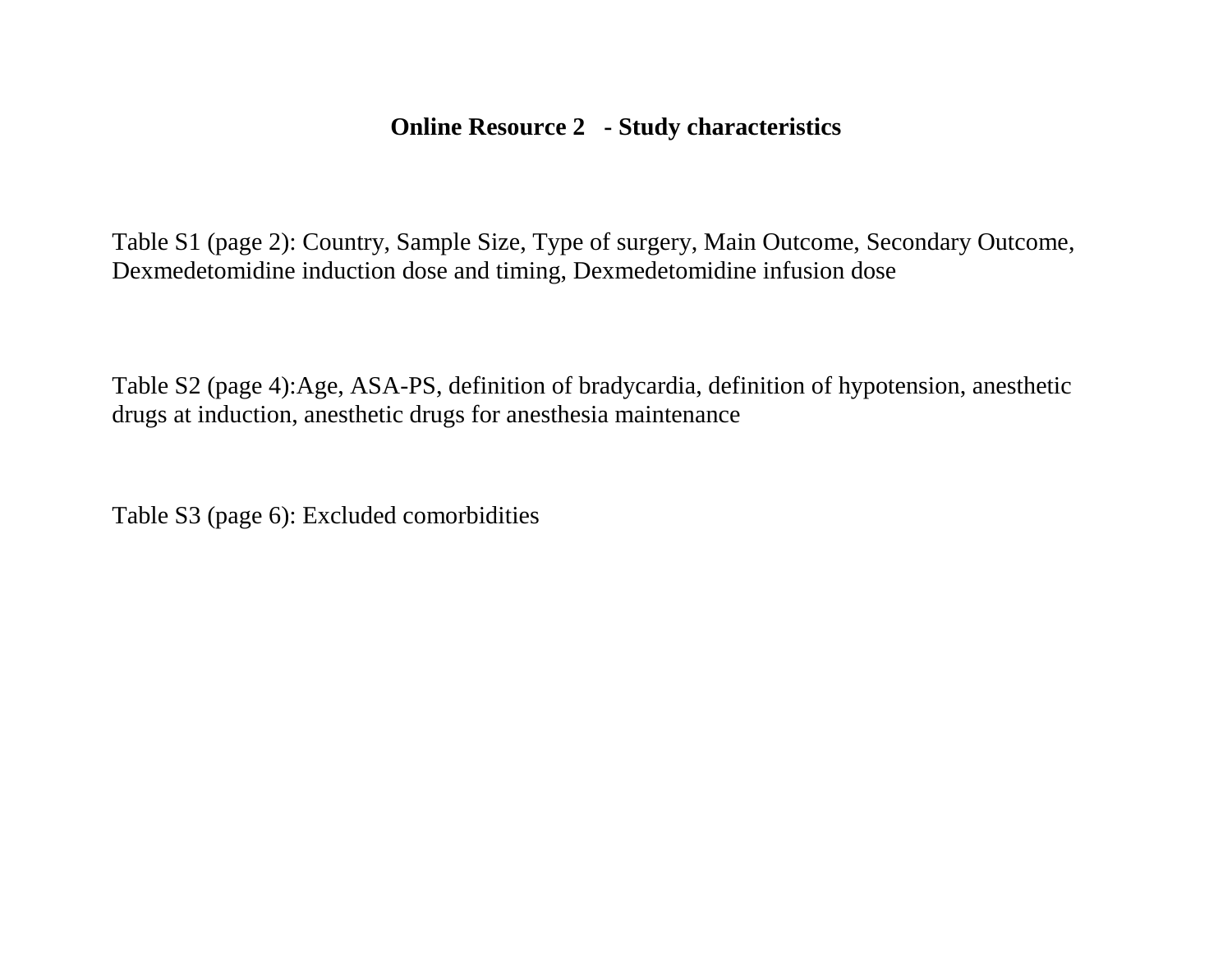## **Online Resource 2 - Study characteristics**

Table S1 (page 2): Country, Sample Size, Type of surgery, Main Outcome, Secondary Outcome, Dexmedetomidine induction dose and timing, Dexmedetomidine infusion dose

Table S2 (page 4):Age, ASA-PS, definition of bradycardia, definition of hypotension, anesthetic drugs at induction, anesthetic drugs for anesthesia maintenance

Table S3 (page 6): Excluded comorbidities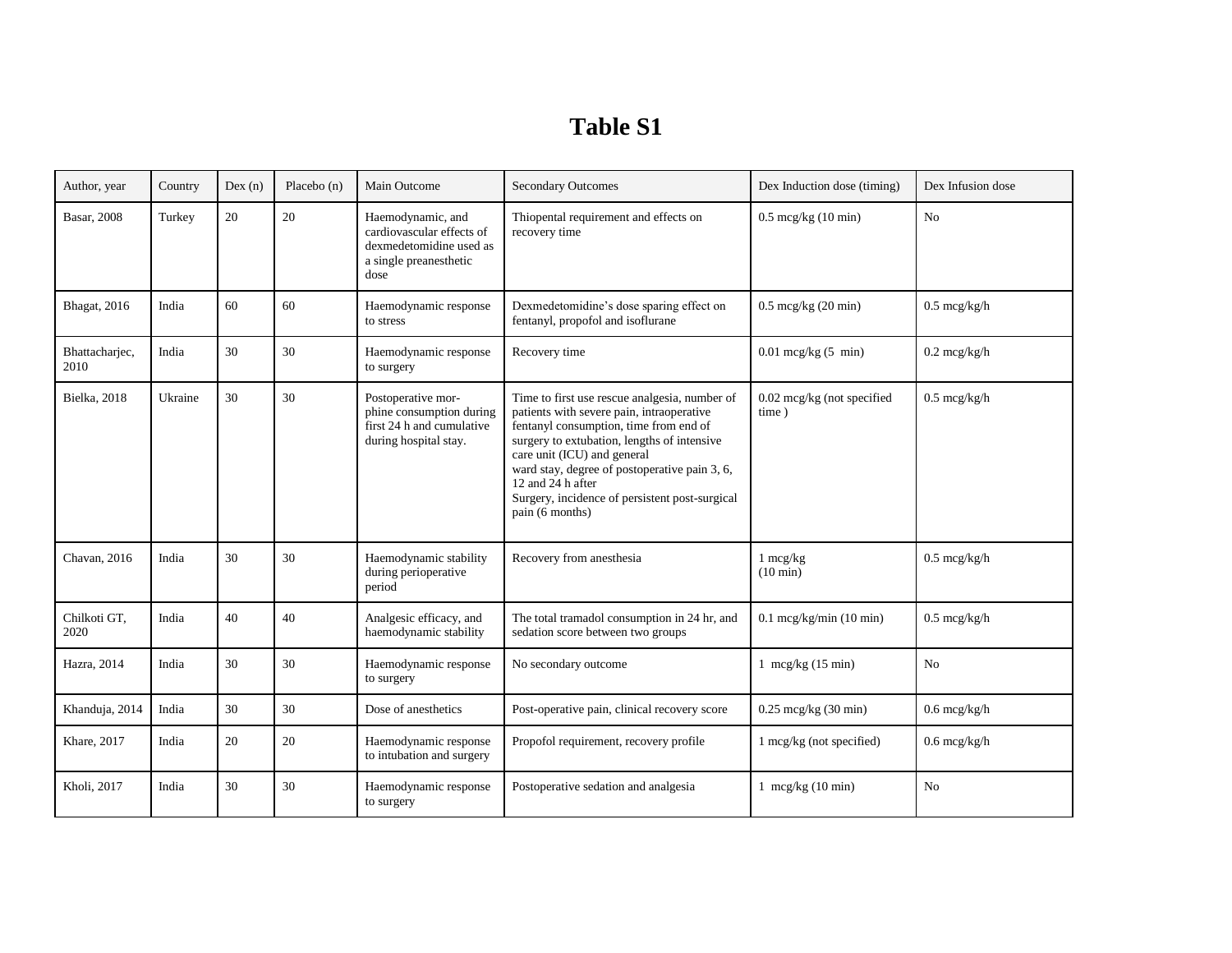## **Table S1**

| Author, year           | Country | Dex(n) | Placebo (n) | Main Outcome                                                                                                | <b>Secondary Outcomes</b>                                                                                                                                                                                                                                                                                                                                     | Dex Induction dose (timing)              | Dex Infusion dose      |
|------------------------|---------|--------|-------------|-------------------------------------------------------------------------------------------------------------|---------------------------------------------------------------------------------------------------------------------------------------------------------------------------------------------------------------------------------------------------------------------------------------------------------------------------------------------------------------|------------------------------------------|------------------------|
| <b>Basar</b> , 2008    | Turkey  | 20     | 20          | Haemodynamic, and<br>cardiovascular effects of<br>dexmedetomidine used as<br>a single preanesthetic<br>dose | Thiopental requirement and effects on<br>recovery time                                                                                                                                                                                                                                                                                                        | $0.5 \text{~mcg/kg}$ (10 min)            | No                     |
| Bhagat, 2016           | India   | 60     | 60          | Haemodynamic response<br>to stress                                                                          | Dexmedetomidine's dose sparing effect on<br>fentanyl, propofol and isoflurane                                                                                                                                                                                                                                                                                 | $0.5 \text{~mcg/kg}$ (20 min)            | $0.5 \text{ mcg/kg/h}$ |
| Bhattachariec,<br>2010 | India   | 30     | 30          | Haemodynamic response<br>to surgery                                                                         | Recovery time                                                                                                                                                                                                                                                                                                                                                 | $0.01$ mcg/kg $(5 \text{ min})$          | $0.2 \text{ mcg/kg/h}$ |
| Bielka, 2018           | Ukraine | 30     | 30          | Postoperative mor-<br>phine consumption during<br>first 24 h and cumulative<br>during hospital stay.        | Time to first use rescue analgesia, number of<br>patients with severe pain, intraoperative<br>fentanyl consumption, time from end of<br>surgery to extubation, lengths of intensive<br>care unit (ICU) and general<br>ward stay, degree of postoperative pain 3, 6,<br>12 and 24 h after<br>Surgery, incidence of persistent post-surgical<br>pain (6 months) | $0.02$ mcg/kg (not specified<br>time)    | $0.5 \text{~mcg/kg/h}$ |
| Chavan, 2016           | India   | 30     | 30          | Haemodynamic stability<br>during perioperative<br>period                                                    | Recovery from anesthesia                                                                                                                                                                                                                                                                                                                                      | $1 \text{ mcg/kg}$<br>$(10 \text{ min})$ | $0.5 \text{~mcg/kg/h}$ |
| Chilkoti GT,<br>2020   | India   | 40     | 40          | Analgesic efficacy, and<br>haemodynamic stability                                                           | The total tramadol consumption in 24 hr, and<br>sedation score between two groups                                                                                                                                                                                                                                                                             | $0.1$ mcg/kg/min (10 min)                | $0.5 \text{~mcg/kg/h}$ |
| Hazra, 2014            | India   | 30     | 30          | Haemodynamic response<br>to surgery                                                                         | No secondary outcome                                                                                                                                                                                                                                                                                                                                          | 1 mcg/kg $(15 \text{ min})$              | N <sub>o</sub>         |
| Khanduja, 2014         | India   | 30     | 30          | Dose of anesthetics                                                                                         | Post-operative pain, clinical recovery score                                                                                                                                                                                                                                                                                                                  | $0.25 \text{ mcg/kg}$ (30 min)           | $0.6$ mcg/kg/h         |
| Khare, 2017            | India   | 20     | 20          | Haemodynamic response<br>to intubation and surgery                                                          | Propofol requirement, recovery profile                                                                                                                                                                                                                                                                                                                        | 1 mcg/kg (not specified)                 | $0.6$ mcg/kg/h         |
| Kholi, 2017            | India   | 30     | 30          | Haemodynamic response<br>to surgery                                                                         | Postoperative sedation and analgesia                                                                                                                                                                                                                                                                                                                          | 1 mcg/kg $(10 \text{ min})$              | N <sub>o</sub>         |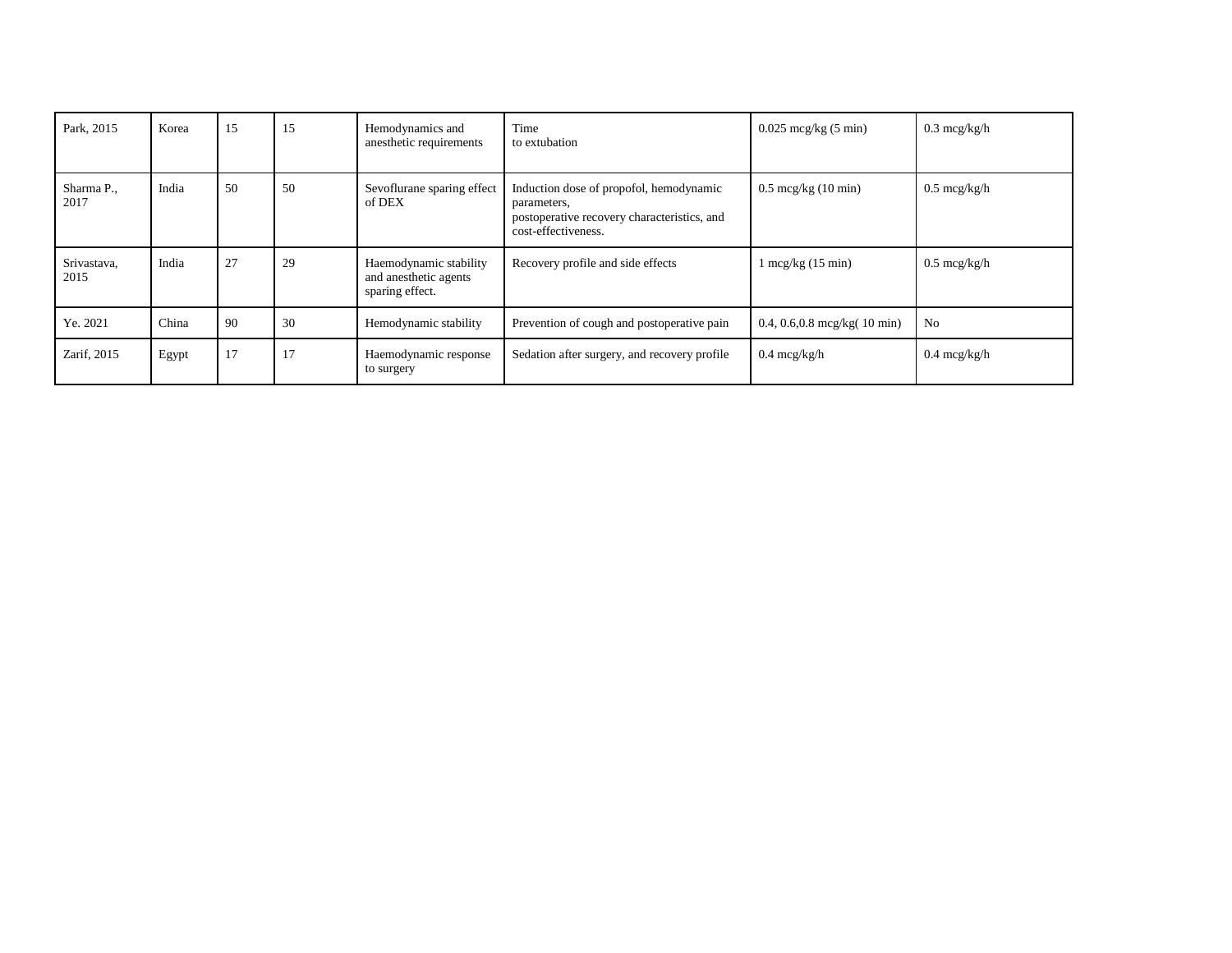| Park, 2015          | Korea | 15 | 15 | Hemodynamics and<br>anesthetic requirements                        | Time<br>to extubation                                                                                                        | $0.025$ mcg/kg $(5 \text{ min})$        | $0.3 \text{~mcg/kg/h}$ |
|---------------------|-------|----|----|--------------------------------------------------------------------|------------------------------------------------------------------------------------------------------------------------------|-----------------------------------------|------------------------|
| Sharma P.,<br>2017  | India | 50 | 50 | Sevoflurane sparing effect<br>of DEX                               | Induction dose of propofol, hemodynamic<br>parameters,<br>postoperative recovery characteristics, and<br>cost-effectiveness. | $0.5 \text{~mcg/kg}$ (10 min)           | $0.5 \text{~mcg/kg/h}$ |
| Srivastava,<br>2015 | India | 27 | 29 | Haemodynamic stability<br>and anesthetic agents<br>sparing effect. | Recovery profile and side effects                                                                                            | $1 \text{ mcg/kg}$ (15 min)             | $0.5 \text{~mcg/kg/h}$ |
| Ye. 2021            | China | 90 | 30 | Hemodynamic stability                                              | Prevention of cough and postoperative pain                                                                                   | 0.4, 0.6, 0.8 mcg/kg $(10 \text{ min})$ | No                     |
| Zarif, 2015         | Egypt | 17 | 17 | Haemodynamic response<br>to surgery                                | Sedation after surgery, and recovery profile                                                                                 | $0.4 \text{~mcg/kg/h}$                  | $0.4 \text{ mcg/kg/h}$ |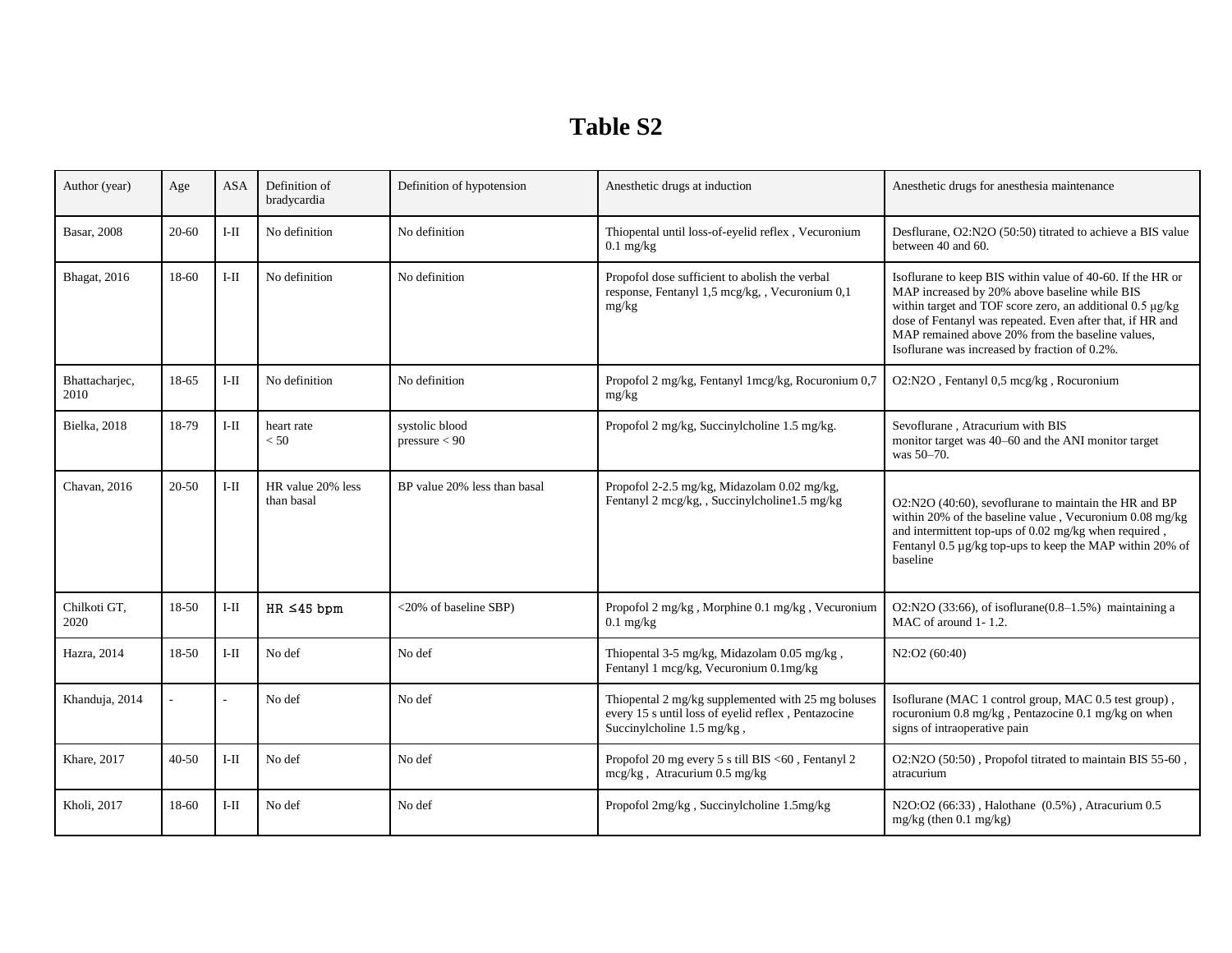## **Table S2**

| Author (year)          | Age       | ASA    | Definition of<br>bradycardia    | Definition of hypotension       | Anesthetic drugs at induction                                                                                                           | Anesthetic drugs for anesthesia maintenance                                                                                                                                                                                                                                                                                                |
|------------------------|-----------|--------|---------------------------------|---------------------------------|-----------------------------------------------------------------------------------------------------------------------------------------|--------------------------------------------------------------------------------------------------------------------------------------------------------------------------------------------------------------------------------------------------------------------------------------------------------------------------------------------|
| <b>Basar</b> , 2008    | $20 - 60$ | I-II   | No definition                   | No definition                   | Thiopental until loss-of-eyelid reflex, Vecuronium<br>$0.1$ mg/kg                                                                       | Desflurane, O2:N2O (50:50) titrated to achieve a BIS value<br>between 40 and 60.                                                                                                                                                                                                                                                           |
| Bhagat, 2016           | 18-60     | $I-II$ | No definition                   | No definition                   | Propofol dose sufficient to abolish the verbal<br>response, Fentanyl 1,5 mcg/kg,, Vecuronium 0,1<br>mg/kg                               | Isoflurane to keep BIS within value of 40-60. If the HR or<br>MAP increased by 20% above baseline while BIS<br>within target and TOF score zero, an additional 0.5 µg/kg<br>dose of Fentanyl was repeated. Even after that, if HR and<br>MAP remained above 20% from the baseline values,<br>Isoflurane was increased by fraction of 0.2%. |
| Bhattacharjec,<br>2010 | 18-65     | $I-II$ | No definition                   | No definition                   | Propofol 2 mg/kg, Fentanyl 1 mcg/kg, Rocuronium 0,7<br>mg/kg                                                                            | O2:N2O, Fentanyl 0,5 mcg/kg, Rocuronium                                                                                                                                                                                                                                                                                                    |
| Bielka, 2018           | 18-79     | I-II   | heart rate<br>< 50              | systolic blood<br>pressure < 90 | Propofol 2 mg/kg, Succinylcholine 1.5 mg/kg.                                                                                            | Sevoflurane, Atracurium with BIS<br>monitor target was 40–60 and the ANI monitor target<br>was 50-70.                                                                                                                                                                                                                                      |
| Chavan, 2016           | 20-50     | I-II   | HR value 20% less<br>than basal | BP value 20% less than basal    | Propofol 2-2.5 mg/kg, Midazolam 0.02 mg/kg,<br>Fentanyl 2 mcg/kg,, Succinylcholine1.5 mg/kg                                             | O2:N2O (40:60), sevoflurane to maintain the HR and BP<br>within 20% of the baseline value, Vecuronium $0.08 \text{ mg/kg}$<br>and intermittent top-ups of 0.02 mg/kg when required,<br>Fentanyl 0.5 µg/kg top-ups to keep the MAP within 20% of<br>baseline                                                                                |
| Chilkoti GT,<br>2020   | 18-50     | I-II   | $HR \leq 45$ bpm                | <20% of baseline SBP)           | Propofol 2 mg/kg, Morphine 0.1 mg/kg, Vecuronium<br>$0.1$ mg/kg                                                                         | $O2:N2O$ (33:66), of isoflurane( $0.8-1.5\%$ ) maintaining a<br>MAC of around 1-1.2.                                                                                                                                                                                                                                                       |
| Hazra, 2014            | 18-50     | $I-II$ | No def                          | No def                          | Thiopental 3-5 mg/kg, Midazolam 0.05 mg/kg,<br>Fentanyl 1 mcg/kg, Vecuronium 0.1mg/kg                                                   | N2:O2 (60:40)                                                                                                                                                                                                                                                                                                                              |
| Khanduja, 2014         |           |        | No def                          | No def                          | Thiopental 2 mg/kg supplemented with 25 mg boluses<br>every 15 s until loss of eyelid reflex, Pentazocine<br>Succinylcholine 1.5 mg/kg, | Isoflurane (MAC 1 control group, MAC 0.5 test group),<br>rocuronium 0.8 mg/kg, Pentazocine 0.1 mg/kg on when<br>signs of intraoperative pain                                                                                                                                                                                               |
| Khare, 2017            | $40 - 50$ | I-II   | No def                          | No def                          | Propofol 20 mg every 5 s till BIS <60, Fentanyl 2<br>mcg/kg, Atracurium 0.5 mg/kg                                                       | O2:N2O (50:50), Propofol titrated to maintain BIS 55-60,<br>atracurium                                                                                                                                                                                                                                                                     |
| Kholi, 2017            | 18-60     | I-II   | No def                          | No def                          | Propofol 2mg/kg, Succinylcholine 1.5mg/kg                                                                                               | N2O:O2 (66:33), Halothane (0.5%), Atracurium 0.5<br>$mg/kg$ (then 0.1 mg/kg)                                                                                                                                                                                                                                                               |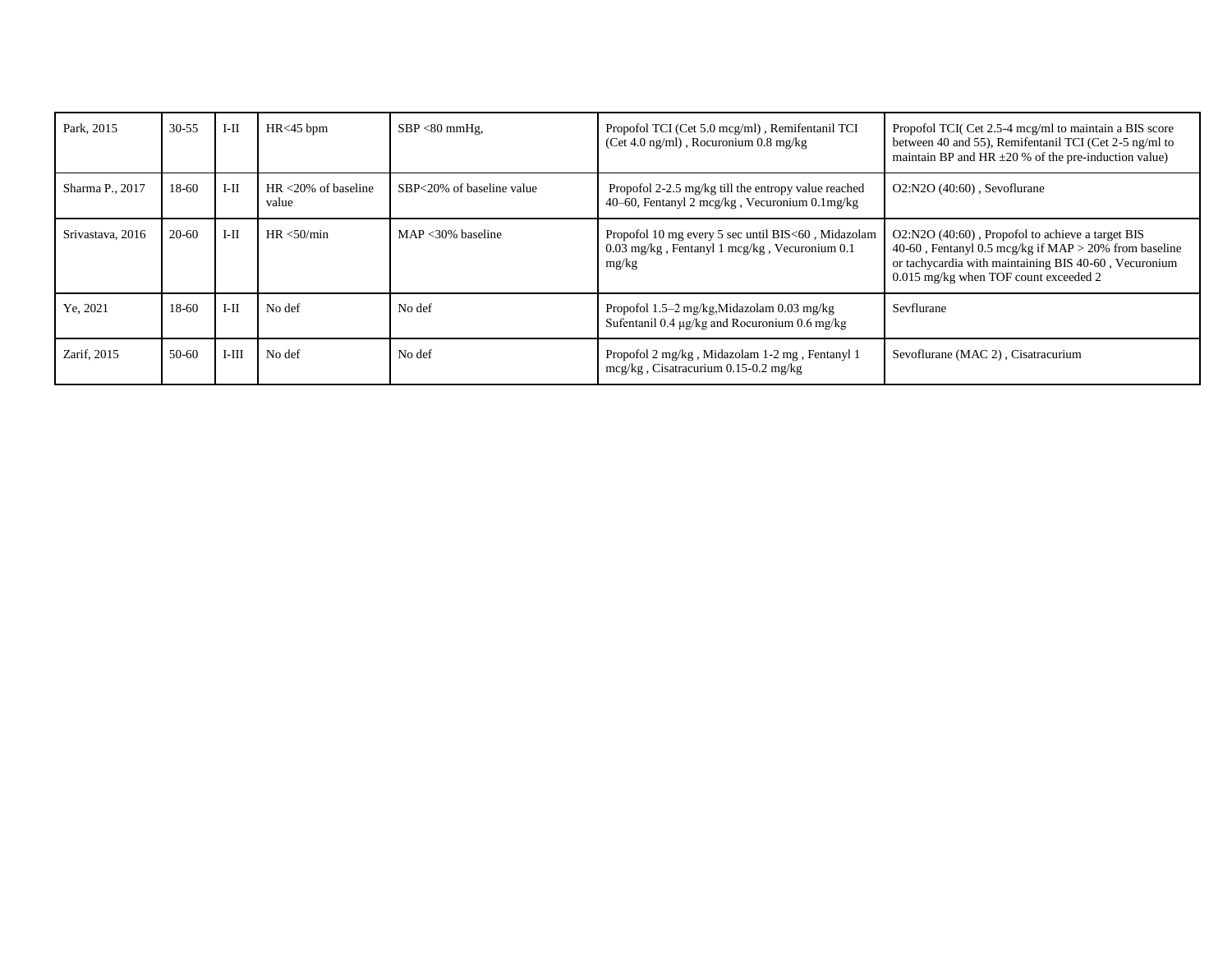| Park, 2015       | $30 - 55$ | $I-II$  | $HR<45$ bpm                      | $SBP < 80$ mmHg,          | Propofol TCI (Cet 5.0 mcg/ml), Remifentanil TCI<br>(Cet 4.0 ng/ml), Rocuronium $0.8 \text{ mg/kg}$           | Propofol TCI( Cet 2.5-4 mcg/ml to maintain a BIS score<br>between 40 and 55), Remifentanil TCI (Cet 2-5 ng/ml to<br>maintain BP and HR $\pm 20$ % of the pre-induction value)                                  |
|------------------|-----------|---------|----------------------------------|---------------------------|--------------------------------------------------------------------------------------------------------------|----------------------------------------------------------------------------------------------------------------------------------------------------------------------------------------------------------------|
| Sharma P., 2017  | 18-60     | $I-II$  | $HR < 20\%$ of baseline<br>value | SBP<20% of baseline value | Propofol 2-2.5 mg/kg till the entropy value reached<br>40–60, Fentanyl 2 mcg/kg, Vecuronium 0.1 mg/kg        | $O2: N2O$ (40:60), Sevoflurane                                                                                                                                                                                 |
| Srivastava, 2016 | $20 - 60$ | $I-II$  | HR < 50/min                      | $MAP < 30\%$ baseline     | Propofol 10 mg every 5 sec until BIS<60, Midazolam<br>0.03 mg/kg, Fentanyl 1 mcg/kg, Vecuronium 0.1<br>mg/kg | O2:N2O (40:60), Propofol to achieve a target BIS<br>40-60, Fentanyl 0.5 mcg/kg if $MAP > 20\%$ from baseline<br>or tachycardia with maintaining BIS 40-60, Vecuronium<br>0.015 mg/kg when TOF count exceeded 2 |
| Ye, 2021         | 18-60     | $I-II$  | No def                           | No def                    | Propofol 1.5–2 mg/kg, Midazolam 0.03 mg/kg<br>Sufentanil 0.4 $\mu$ g/kg and Rocuronium 0.6 mg/kg             | Sevflurane                                                                                                                                                                                                     |
| Zarif, 2015      | 50-60     | $I-III$ | No def                           | No def                    | Propofol 2 mg/kg, Midazolam 1-2 mg, Fentanyl 1<br>$mcg/kg$ , Cisatracurium 0.15-0.2 mg/kg                    | Sevoflurane (MAC 2), Cisatracurium                                                                                                                                                                             |